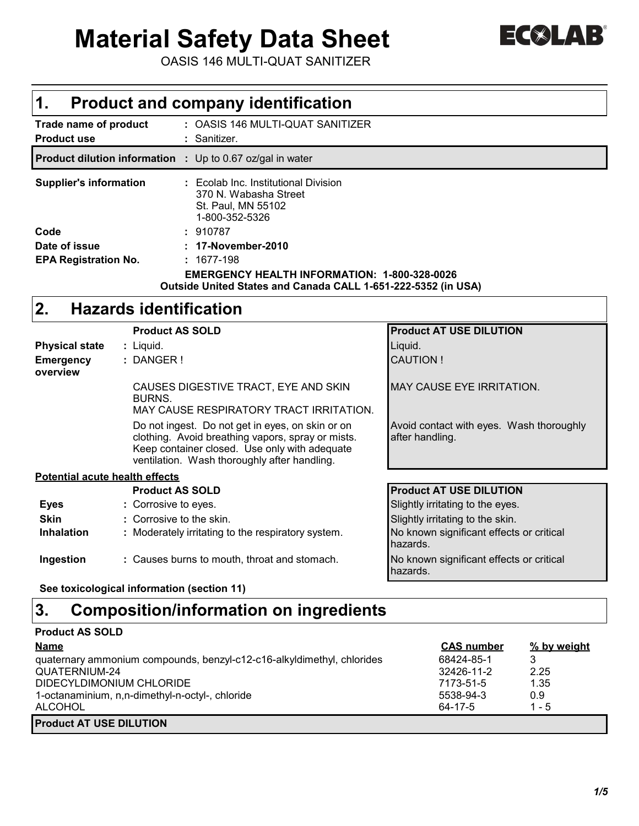# **Material Safety Data Sheet**



OASIS 146 MULTI-QUAT SANITIZER

## **1. Product and company identification**

| Trade name of product<br><b>Product use</b>                      | : OASIS 146 MULTI-QUAT SANITIZER<br>: Sanitizer.                                                                     |
|------------------------------------------------------------------|----------------------------------------------------------------------------------------------------------------------|
| <b>Product dilution information</b> : Up to 0.67 oz/gal in water |                                                                                                                      |
| <b>Supplier's information</b>                                    | : Ecolab Inc. Institutional Division<br>370 N. Wabasha Street<br>St. Paul, MN 55102<br>1-800-352-5326                |
| Code                                                             | : 910787                                                                                                             |
| Date of issue                                                    | : 17-November-2010                                                                                                   |
| <b>EPA Registration No.</b>                                      | : 1677-198                                                                                                           |
|                                                                  | <b>EMERGENCY HEALTH INFORMATION: 1-800-328-0026</b><br>Outside United States and Canada CALL 1-651-222-5352 (in USA) |

## **2. Hazards identification**

|                                       | <b>Product AS SOLD</b>                                                                                                                                                                                 | <b>Product AT USE DILUTION</b>                              |
|---------------------------------------|--------------------------------------------------------------------------------------------------------------------------------------------------------------------------------------------------------|-------------------------------------------------------------|
| <b>Physical state</b>                 | : Liquid.                                                                                                                                                                                              | Liguid.                                                     |
| <b>Emergency</b><br>overview          | : DANGER!                                                                                                                                                                                              | <b>CAUTION!</b>                                             |
|                                       | CAUSES DIGESTIVE TRACT, EYE AND SKIN<br>BURNS.<br>MAY CAUSE RESPIRATORY TRACT IRRITATION.                                                                                                              | <b>MAY CAUSE EYE IRRITATION.</b>                            |
|                                       | Do not ingest. Do not get in eyes, on skin or on<br>clothing. Avoid breathing vapors, spray or mists.<br>Keep container closed. Use only with adequate<br>ventilation. Wash thoroughly after handling. | Avoid contact with eyes. Wash thoroughly<br>after handling. |
| <b>Potential acute health effects</b> |                                                                                                                                                                                                        |                                                             |
|                                       | <b>Product AS SOLD</b>                                                                                                                                                                                 | <b>Product AT USE DILUTION</b>                              |
| <b>Eyes</b>                           | : Corrosive to eyes.                                                                                                                                                                                   | Slightly irritating to the eyes.                            |
| <b>Skin</b>                           | : Corrosive to the skin.                                                                                                                                                                               | Slightly irritating to the skin.                            |
| <b>Inhalation</b>                     | : Moderately irritating to the respiratory system.                                                                                                                                                     | No known significant effects or critical<br>hazards.        |
| Ingestion                             | : Causes burns to mouth, throat and stomach.                                                                                                                                                           | No known significant effects or critical<br>hazards.        |

**See toxicological information (section 11)**

## **3. Composition/information on ingredients**

| <b>Product AS SOLD</b>                                                 |                   |             |  |
|------------------------------------------------------------------------|-------------------|-------------|--|
| <b>Name</b>                                                            | <b>CAS number</b> | % by weight |  |
| quaternary ammonium compounds, benzyl-c12-c16-alkyldimethyl, chlorides | 68424-85-1        | 3           |  |
| QUATERNIUM-24                                                          | 32426-11-2        | 2.25        |  |
| DIDECYLDIMONIUM CHLORIDE                                               | 7173-51-5         | 1.35        |  |
| 1-octanaminium, n,n-dimethyl-n-octyl-, chloride                        | 5538-94-3         | 0.9         |  |
| <b>ALCOHOL</b>                                                         | 64-17-5           | $1 - 5$     |  |
| <b>Product AT USE DILUTION</b>                                         |                   |             |  |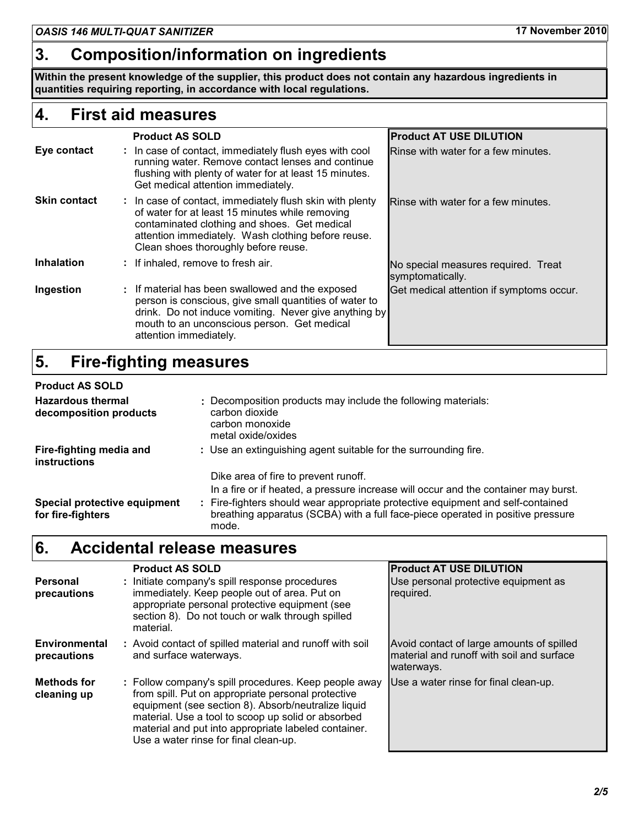## **3. Composition/information on ingredients**

**Within the present knowledge of the supplier, this product does not contain any hazardous ingredients in quantities requiring reporting, in accordance with local regulations.**

## **4. First aid measures**

|                     | <b>Product AS SOLD</b>                                                                                                                                                                                                                                    | <b>Product AT USE DILUTION</b>                          |
|---------------------|-----------------------------------------------------------------------------------------------------------------------------------------------------------------------------------------------------------------------------------------------------------|---------------------------------------------------------|
| Eye contact         | : In case of contact, immediately flush eyes with cool<br>running water. Remove contact lenses and continue<br>flushing with plenty of water for at least 15 minutes.<br>Get medical attention immediately.                                               | Rinse with water for a few minutes.                     |
| <b>Skin contact</b> | : In case of contact, immediately flush skin with plenty<br>of water for at least 15 minutes while removing<br>contaminated clothing and shoes. Get medical<br>attention immediately. Wash clothing before reuse.<br>Clean shoes thoroughly before reuse. | Rinse with water for a few minutes.                     |
| <b>Inhalation</b>   | : If inhaled, remove to fresh air.                                                                                                                                                                                                                        | No special measures required. Treat<br>symptomatically. |
| Ingestion           | : If material has been swallowed and the exposed<br>person is conscious, give small quantities of water to<br>drink. Do not induce vomiting. Never give anything by<br>mouth to an unconscious person. Get medical<br>attention immediately.              | Get medical attention if symptoms occur.                |

## **5. Fire-fighting measures**

| <b>Product AS SOLD</b>                             |                                                                                                                                                                                                                                                                  |
|----------------------------------------------------|------------------------------------------------------------------------------------------------------------------------------------------------------------------------------------------------------------------------------------------------------------------|
| <b>Hazardous thermal</b><br>decomposition products | : Decomposition products may include the following materials:<br>carbon dioxide<br>carbon monoxide<br>metal oxide/oxides                                                                                                                                         |
| Fire-fighting media and<br><b>instructions</b>     | : Use an extinguishing agent suitable for the surrounding fire.                                                                                                                                                                                                  |
|                                                    | Dike area of fire to prevent runoff.                                                                                                                                                                                                                             |
| Special protective equipment<br>for fire-fighters  | In a fire or if heated, a pressure increase will occur and the container may burst.<br>Fire-fighters should wear appropriate protective equipment and self-contained<br>breathing apparatus (SCBA) with a full face-piece operated in positive pressure<br>mode. |

## **6. Accidental release measures**

|                                   | <b>Product AS SOLD</b>                                                                                                                                                                                                                                                                                                    | <b>Product AT USE DILUTION</b>                                                                       |  |
|-----------------------------------|---------------------------------------------------------------------------------------------------------------------------------------------------------------------------------------------------------------------------------------------------------------------------------------------------------------------------|------------------------------------------------------------------------------------------------------|--|
| <b>Personal</b><br>precautions    | : Initiate company's spill response procedures<br>immediately. Keep people out of area. Put on<br>appropriate personal protective equipment (see<br>section 8). Do not touch or walk through spilled<br>material.                                                                                                         | Use personal protective equipment as<br>required.                                                    |  |
| Environmental<br>precautions      | : Avoid contact of spilled material and runoff with soil<br>and surface waterways.                                                                                                                                                                                                                                        | Avoid contact of large amounts of spilled<br>material and runoff with soil and surface<br>waterways. |  |
| <b>Methods for</b><br>cleaning up | : Follow company's spill procedures. Keep people away<br>from spill. Put on appropriate personal protective<br>equipment (see section 8). Absorb/neutralize liquid<br>material. Use a tool to scoop up solid or absorbed<br>material and put into appropriate labeled container.<br>Use a water rinse for final clean-up. | Use a water rinse for final clean-up.                                                                |  |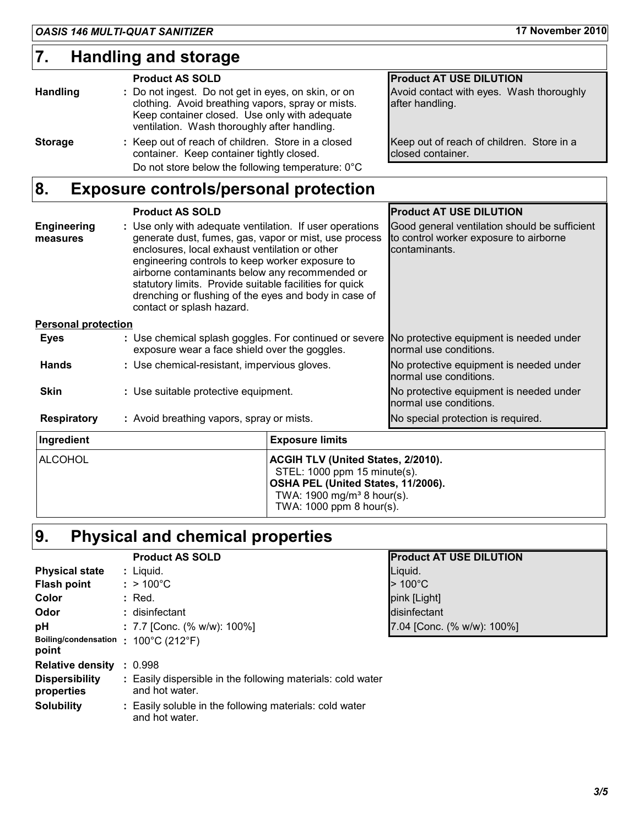## **7. Handling and storage**

#### **Product AS SOLD Product AT USE DILUTION Handling :** Do not ingest. Do not get in eyes, on skin, or on clothing. Avoid breathing vapors, spray or mists. Keep container closed. Use only with adequate ventilation. Wash thoroughly after handling. Avoid contact with eyes. Wash thoroughly after handling. **Storage : Keep out of reach of children. Store in a closed** container. Keep container tightly closed. Keep out of reach of children. Store in a closed container. Do not store below the following temperature: 0°C

## **8. Exposure controls/personal protection**

|                                | <b>Product AS SOLD</b>                                                                                                                                                                                                                                                                                                                                                                                                    | <b>Product AT USE DILUTION</b>                                                                           |
|--------------------------------|---------------------------------------------------------------------------------------------------------------------------------------------------------------------------------------------------------------------------------------------------------------------------------------------------------------------------------------------------------------------------------------------------------------------------|----------------------------------------------------------------------------------------------------------|
| <b>Engineering</b><br>measures | : Use only with adequate ventilation. If user operations<br>generate dust, fumes, gas, vapor or mist, use process<br>enclosures, local exhaust ventilation or other<br>engineering controls to keep worker exposure to<br>airborne contaminants below any recommended or<br>statutory limits. Provide suitable facilities for quick<br>drenching or flushing of the eyes and body in case of<br>contact or splash hazard. | Good general ventilation should be sufficient<br>to control worker exposure to airborne<br>contaminants. |
| <b>Personal protection</b>     |                                                                                                                                                                                                                                                                                                                                                                                                                           |                                                                                                          |
| <b>Eyes</b>                    | : Use chemical splash goggles. For continued or severe<br>exposure wear a face shield over the goggles.                                                                                                                                                                                                                                                                                                                   | No protective equipment is needed under<br>normal use conditions.                                        |
| <b>Hands</b>                   | : Use chemical-resistant, impervious gloves.                                                                                                                                                                                                                                                                                                                                                                              | No protective equipment is needed under<br>normal use conditions.                                        |
| <b>Skin</b>                    | : Use suitable protective equipment.                                                                                                                                                                                                                                                                                                                                                                                      | No protective equipment is needed under<br>normal use conditions.                                        |
| <b>Respiratory</b>             | : Avoid breathing vapors, spray or mists.                                                                                                                                                                                                                                                                                                                                                                                 | No special protection is required.                                                                       |
| Ingredient                     | <b>Exposure limits</b>                                                                                                                                                                                                                                                                                                                                                                                                    |                                                                                                          |

| <b>Ingredient</b> | <b>Exposure limits</b>                                                                                                                                                                      |
|-------------------|---------------------------------------------------------------------------------------------------------------------------------------------------------------------------------------------|
| <b>IALCOHOL</b>   | <b>ACGIH TLV (United States, 2/2010).</b><br>STEL: 1000 ppm 15 minute(s).<br><b>OSHA PEL (United States, 11/2006).</b><br>TWA: $1900 \text{ mg/m}^3$ 8 hour(s).<br>TWA: 1000 ppm 8 hour(s). |

# **9. Physical and chemical properties**

|                                               | <b>Product AS SOLD</b>                                                        | <b>Product AT USE DILUTION</b> |
|-----------------------------------------------|-------------------------------------------------------------------------------|--------------------------------|
| <b>Physical state</b>                         | : Liquid.                                                                     | Liquid.                        |
| <b>Flash point</b>                            | $: > 100^{\circ}$ C                                                           | $>100^{\circ}$ C               |
| <b>Color</b>                                  | : Red.                                                                        | pink [Light]                   |
| <b>Odor</b>                                   | : disinfectant                                                                | disinfectant                   |
| рH                                            | : 7.7 [Conc. (% w/w): $100\%$ ]                                               | 7.04 [Conc. (% w/w): 100%]     |
| Boiling/condensation : 100°C (212°F)<br>point |                                                                               |                                |
| <b>Relative density</b>                       | : 0.998                                                                       |                                |
| <b>Dispersibility</b><br>properties           | : Easily dispersible in the following materials: cold water<br>and hot water. |                                |
| <b>Solubility</b>                             | Easily soluble in the following materials: cold water                         |                                |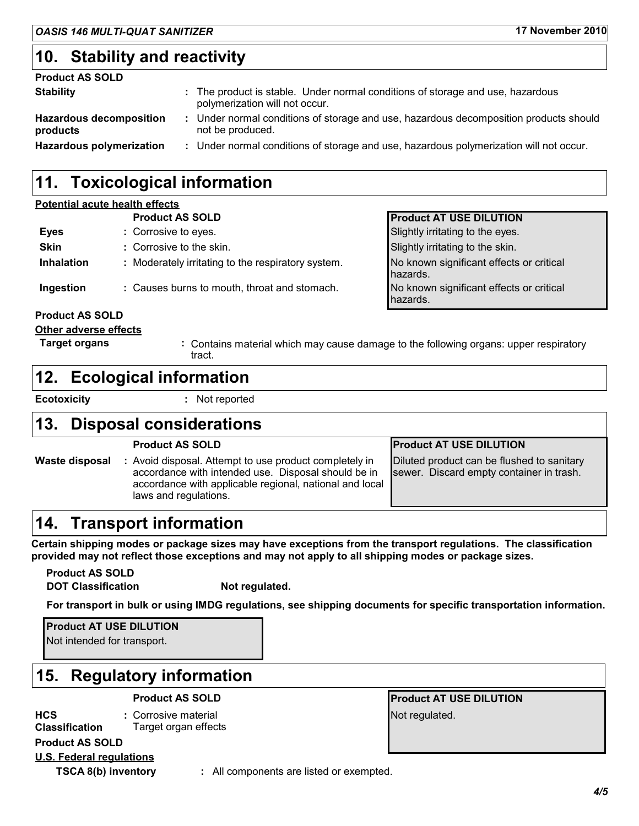## **10. Stability and reactivity**

# **Product AS SOLD**

| <b>Stability</b>                           | : The product is stable. Under normal conditions of storage and use, hazardous<br>polymerization will not occur. |
|--------------------------------------------|------------------------------------------------------------------------------------------------------------------|
| <b>Hazardous decomposition</b><br>products | Under normal conditions of storage and use, hazardous decomposition products should<br>not be produced.          |
| <b>Hazardous polymerization</b>            | : Under normal conditions of storage and use, hazardous polymerization will not occur.                           |

## **11. Toxicological information**

### **Potential acute health effects**

|                              | <b>Product AS SOLD</b>                             | <b>Product AT USE DILUTION</b>                                                        |
|------------------------------|----------------------------------------------------|---------------------------------------------------------------------------------------|
| <b>Eyes</b>                  | : Corrosive to eyes.                               | Slightly irritating to the eyes.                                                      |
| <b>Skin</b>                  | : Corrosive to the skin.                           | Slightly irritating to the skin.                                                      |
| <b>Inhalation</b>            | : Moderately irritating to the respiratory system. | No known significant effects or critical<br>hazards.                                  |
| Ingestion                    | : Causes burns to mouth, throat and stomach.       | No known significant effects or critical<br>hazards.                                  |
| <b>Product AS SOLD</b>       |                                                    |                                                                                       |
| <b>Other adverse effects</b> |                                                    |                                                                                       |
| <b>Target organs</b>         |                                                    | : Contains material which may cause damage to the following organs: upper respiratory |

## **12. Ecological information**

**Ecotoxicity :** Not reported

tract.

## **13. Disposal considerations**

|                | <b>Product AS SOLD</b>                                                                                                                                                                            | <b>Product AT USE DILUTION</b>                                                         |
|----------------|---------------------------------------------------------------------------------------------------------------------------------------------------------------------------------------------------|----------------------------------------------------------------------------------------|
| Waste disposal | : Avoid disposal. Attempt to use product completely in<br>accordance with intended use. Disposal should be in<br>accordance with applicable regional, national and local<br>laws and regulations. | Diluted product can be flushed to sanitary<br>sewer. Discard empty container in trash. |

## **14. Transport information**

**Certain shipping modes or package sizes may have exceptions from the transport regulations. The classification provided may not reflect those exceptions and may not apply to all shipping modes or package sizes.**

**Product AS SOLD DOT Classification Not regulated.** 

**For transport in bulk or using IMDG regulations, see shipping documents for specific transportation information.**

**Product AT USE DILUTION**

Not intended for transport.

## **15. Regulatory information**

**HCS Classification :** Corrosive material Target organ effects **Product AS SOLD**

**Product AS SOLD Product AT USE DILUTION** Not regulated.

**U.S. Federal regulations**

**TSCA 8(b) inventory :** All components are listed or exempted.